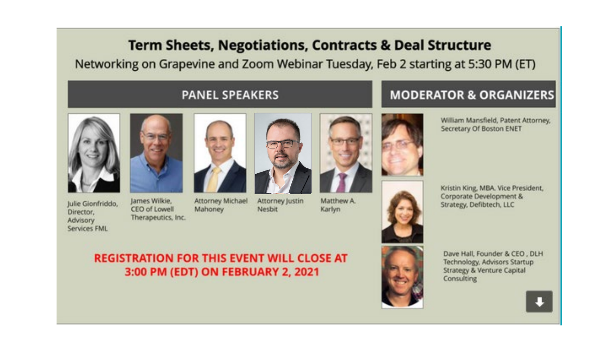# **Term Sheets, Negotiations, Contracts & Deal Structure**

Networking on Grapevine and Zoom Webinar Tuesday, Feb 2 starting at 5:30 PM (ET)

#### **PANEL SPEAKERS**



Director.

Advisory



lames Wilkie. Julie Gionfriddo, CEO of Lowell Therapeutics, Inc. Services FML

Mahoney



**Attorney Michael** 



Attorney Justin **Nesbit** 

Matthew A. Karlyn



**MODERATOR & ORGANIZERS** 



William Mansfield, Patent Attorney, Secretary Of Boston ENET



Kristin King, MBA. Vice President, Corporate Development & Strategy, Defibtech, LLC



Dave Hall, Founder & CEO, DLH Technology, Advisors Startup Strategy & Venture Capital Consulting



#### **REGISTRATION FOR THIS EVENT WILL CLOSE AT** 3:00 PM (EDT) ON FEBRUARY 2, 2021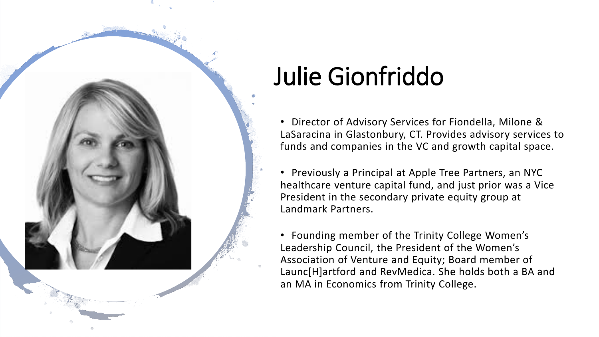# Julie Gionfriddo

• Director of Advisory Services for Fiondella, Milone & LaSaracina in Glastonbury, CT. Provides advisory services to funds and companies in the VC and growth capital space.

• Previously a Principal at Apple Tree Partners, an NYC healthcare venture capital fund, and just prior was a Vice President in the secondary private equity group at Landmark Partners.

• Founding member of the Trinity College Women's Leadership Council, the President of the Women's Association of Venture and Equity; Board member of Launc[H]artford and RevMedica. She holds both a BA and an MA in Economics from Trinity College.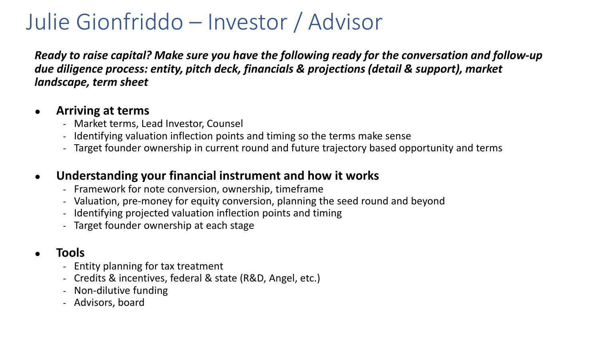# Julie Gionfriddo – Investor / Advisor

*Ready to raise capital? Make sure you have the following ready for the conversation and follow-up due diligence process: entity, pitch deck, financials & projections (detail & support), market landscape, term sheet*

#### ● **Arriving at terms**

- Market terms, Lead Investor, Counsel
- Identifying valuation inflection points and timing so the terms make sense
- Target founder ownership in current round and future trajectory based opportunity and terms

#### ● **Understanding your financial instrument and how it works**

- Framework for note conversion, ownership, timeframe
- Valuation, pre-money for equity conversion, planning the seed round and beyond
- Identifying projected valuation inflection points and timing
- Target founder ownership at each stage

### ● **Tools**

- Entity planning for tax treatment
- Credits & incentives, federal & state (R&D, Angel, etc.)
- Non-dilutive funding
- Advisors, board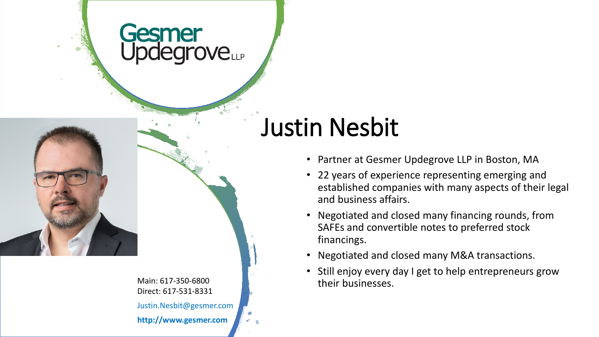# Gesmer<br>Updegrove



Main: 617-350-6800 Direct: 617-531-8331 Justin.Nesbit@gesmer.com **http://www.gesmer.com**

# Justin Nesbit

- Partner at Gesmer Updegrove LLP in Boston, MA
- 22 years of experience representing emerging and established companies with many aspects of their legal and business affairs.
- Negotiated and closed many financing rounds, from SAFEs and convertible notes to preferred stock financings.
- Negotiated and closed many M&A transactions.
- Still enjoy every day I get to help entrepreneurs grow their businesses.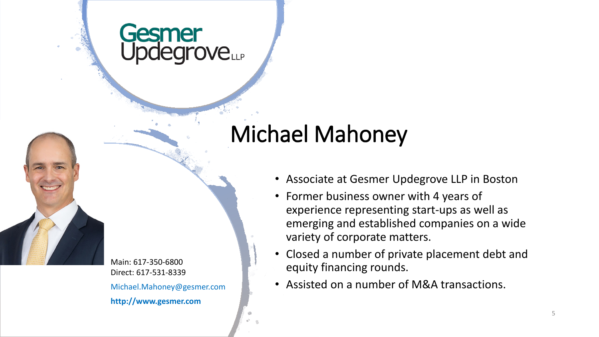# Gesmer **rove**LLP

# Michael Mahoney

Main: 617-350-6800 Direct: 617-531-8339 Michael.Mahoney@gesmer.com **http://www.gesmer.com**

- Associate at Gesmer Updegrove LLP in Boston
- Former business owner with 4 years of experience representing start-ups as well as emerging and established companies on a wide variety of corporate matters.
- Closed a number of private placement debt and equity financing rounds.
- Assisted on a number of M&A transactions.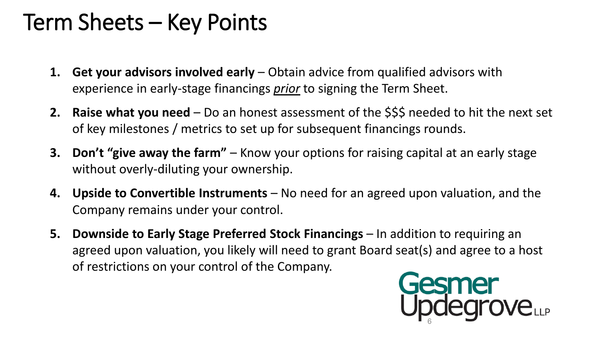# Term Sheets – Key Points

- **1. Get your advisors involved early** Obtain advice from qualified advisors with experience in early-stage financings *prior* to signing the Term Sheet.
- **2. Raise what you need**  Do an honest assessment of the \$\$\$ needed to hit the next set of key milestones / metrics to set up for subsequent financings rounds.
- **3. Don't "give away the farm"**  Know your options for raising capital at an early stage without overly-diluting your ownership.
- **4. Upside to Convertible Instruments**  No need for an agreed upon valuation, and the Company remains under your control.
- **5. Downside to Early Stage Preferred Stock Financings** In addition to requiring an agreed upon valuation, you likely will need to grant Board seat(s) and agree to a host of restrictions on your control of the Company.

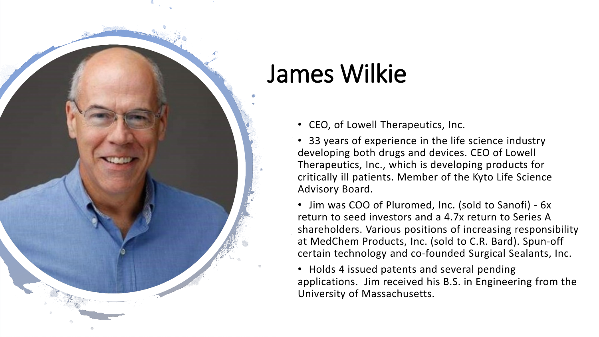# James Wilkie

- CEO, of Lowell Therapeutics, Inc.
- 33 years of experience in the life science industry developing both drugs and devices. CEO of Lowell Therapeutics, Inc., which is developing products for critically ill patients. Member of the Kyto Life Science Advisory Board.
- Jim was COO of Pluromed, Inc. (sold to Sanofi) 6x return to seed investors and a 4.7x return to Series A shareholders. Various positions of increasing responsibility at MedChem Products, Inc. (sold to C.R. Bard). Spun-off certain technology and co-founded Surgical Sealants, Inc.
- Holds 4 issued patents and several pending applications. Jim received his B.S. in Engineering from the University of Massachusetts.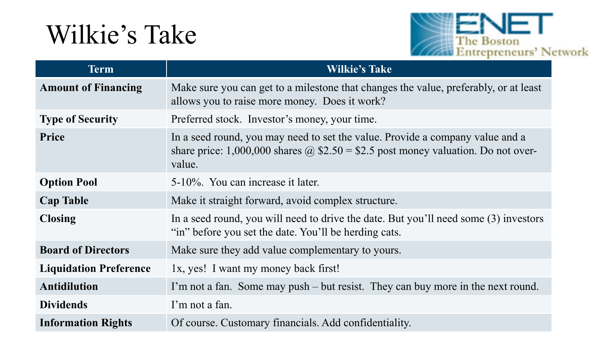# Wilkie's Take



| <b>Term</b>                   | <b>Wilkie's Take</b>                                                                                                                                                                |
|-------------------------------|-------------------------------------------------------------------------------------------------------------------------------------------------------------------------------------|
| <b>Amount of Financing</b>    | Make sure you can get to a milestone that changes the value, preferably, or at least<br>allows you to raise more money. Does it work?                                               |
| <b>Type of Security</b>       | Preferred stock. Investor's money, your time.                                                                                                                                       |
| Price                         | In a seed round, you may need to set the value. Provide a company value and a<br>share price: 1,000,000 shares $\omega$ \$2.50 = \$2.5 post money valuation. Do not over-<br>value. |
| <b>Option Pool</b>            | 5-10%. You can increase it later.                                                                                                                                                   |
| <b>Cap Table</b>              | Make it straight forward, avoid complex structure.                                                                                                                                  |
| <b>Closing</b>                | In a seed round, you will need to drive the date. But you'll need some (3) investors<br>"in" before you set the date. You'll be herding cats.                                       |
| <b>Board of Directors</b>     | Make sure they add value complementary to yours.                                                                                                                                    |
| <b>Liquidation Preference</b> | 1x, yes! I want my money back first!                                                                                                                                                |
| <b>Antidilution</b>           | I'm not a fan. Some may push – but resist. They can buy more in the next round.                                                                                                     |
| <b>Dividends</b>              | I'm not a fan.                                                                                                                                                                      |
| <b>Information Rights</b>     | Of course. Customary financials. Add confidentiality.                                                                                                                               |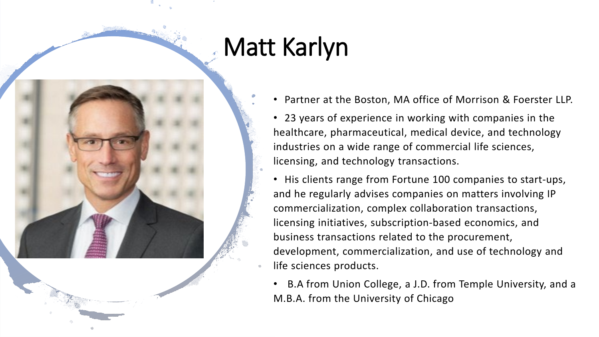# Matt Karlyn



• Partner at the Boston, MA office of Morrison & Foerster LLP.

• 23 years of experience in working with companies in the healthcare, pharmaceutical, medical device, and technology industries on a wide range of commercial life sciences, licensing, and technology transactions.

• His clients range from Fortune 100 companies to start-ups, and he regularly advises companies on matters involving IP commercialization, complex collaboration transactions, licensing initiatives, subscription-based economics, and business transactions related to the procurement, development, commercialization, and use of technology and life sciences products.

• B.A from Union College, a J.D. from Temple University, and a M.B.A. from the University of Chicago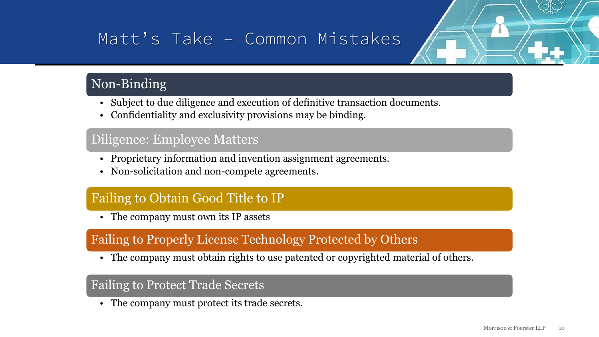# Matt's Take – Common Mistakes

## Non-Binding

- Subject to due diligence and execution of definitive transaction documents.
- Confidentiality and exclusivity provisions may be binding.

#### Diligence: Employee Matters

- Proprietary information and invention assignment agreements.
- Non-solicitation and non-compete agreements.

#### Failing to Obtain Good Title to IP

• The company must own its IP assets

#### Failing to Properly License Technology Protected by Others

• The company must obtain rights to use patented or copyrighted material of others.

#### Failing to Protect Trade Secrets

• The company must protect its trade secrets.